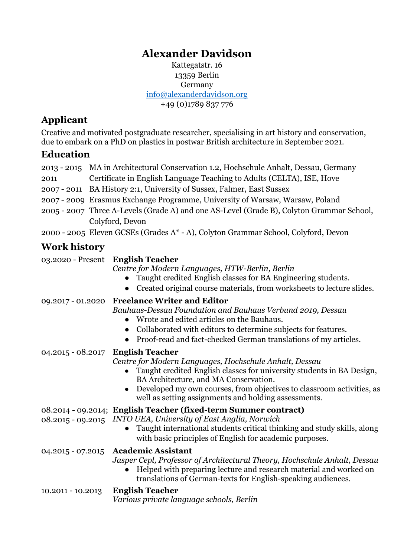# **Alexander Davidson**

Kattegatstr. 16 13359 Berlin Germany [info@alexanderdavidson.org](mailto:info@alexanderdavidson.org) +49 (0)1789 837 776

## **Applicant**

Creative and motivated postgraduate researcher, specialising in art history and conservation, due to embark on a PhD on plastics in postwar British architecture in September 2021.

### **Education**

|                     | 2013 - 2015 MA in Architectural Conservation 1.2, Hochschule Anhalt, Dessau, Germany                                                                                                                                                                                                                                                                 |  |  |
|---------------------|------------------------------------------------------------------------------------------------------------------------------------------------------------------------------------------------------------------------------------------------------------------------------------------------------------------------------------------------------|--|--|
| 2011                | Certificate in English Language Teaching to Adults (CELTA), ISE, Hove                                                                                                                                                                                                                                                                                |  |  |
|                     | 2007 - 2011 BA History 2:1, University of Sussex, Falmer, East Sussex                                                                                                                                                                                                                                                                                |  |  |
|                     | 2007 - 2009 Erasmus Exchange Programme, University of Warsaw, Warsaw, Poland                                                                                                                                                                                                                                                                         |  |  |
|                     | 2005 - 2007 Three A-Levels (Grade A) and one AS-Level (Grade B), Colyton Grammar School,                                                                                                                                                                                                                                                             |  |  |
|                     | Colyford, Devon                                                                                                                                                                                                                                                                                                                                      |  |  |
|                     | 2000 - 2005 Eleven GCSEs (Grades A* - A), Colyton Grammar School, Colyford, Devon                                                                                                                                                                                                                                                                    |  |  |
| <b>Work history</b> |                                                                                                                                                                                                                                                                                                                                                      |  |  |
|                     | 03.2020 - Present English Teacher<br>$\alpha$ , $\beta$ , $\mathbf{M}$ , $\mathbf{I}$ , $\mathbf{I}$ , $\mathbf{I}$ , $\mathbf{I}$ , $\mathbf{I}$ , $\mathbf{M}$ , $\mathbf{I}$ , $\mathbf{I}$ , $\mathbf{I}$ , $\mathbf{I}$ , $\mathbf{I}$ , $\mathbf{I}$ , $\mathbf{I}$ , $\mathbf{I}$ , $\mathbf{I}$ , $\mathbf{I}$ , $\mathbf{I}$ , $\mathbf{I}$ |  |  |

*Centre for Modern Languages, HTW-Berlin, Berlin*

- Taught credited English classes for BA Engineering students.
- Created original course materials, from worksheets to lecture slides.
- 09.2017 01.2020 **Freelance Writer and Editor** *Bauhaus-Dessau Foundation and Bauhaus Verbund 2019, Dessau*
	- Wrote and edited articles on the Bauhaus.
	- Collaborated with editors to determine subjects for features.
	- Proof-read and fact-checked German translations of my articles.

### 04.2015 - 08.2017 **English Teacher**

*Centre for Modern Languages, Hochschule Anhalt, Dessau*

- Taught credited English classes for university students in BA Design, BA Architecture, and MA Conservation.
- Developed my own courses, from objectives to classroom activities, as well as setting assignments and holding assessments.

### 08.2014 - 09.2014; **English Teacher (fixed-term Summer contract)**

- 08.2015 09.2015 *INTO UEA, University of East Anglia, Norwich*
	- Taught international students critical thinking and study skills, along with basic principles of English for academic purposes.
- 04.2015 07.2015 **Academic Assistant**

*Jasper Cepl, Professor of Architectural Theory, Hochschule Anhalt, Dessau*

● Helped with preparing lecture and research material and worked on translations of German-texts for English-speaking audiences.

10.2011 - 10.2013 **English Teacher**

*Various private language schools, Berlin*